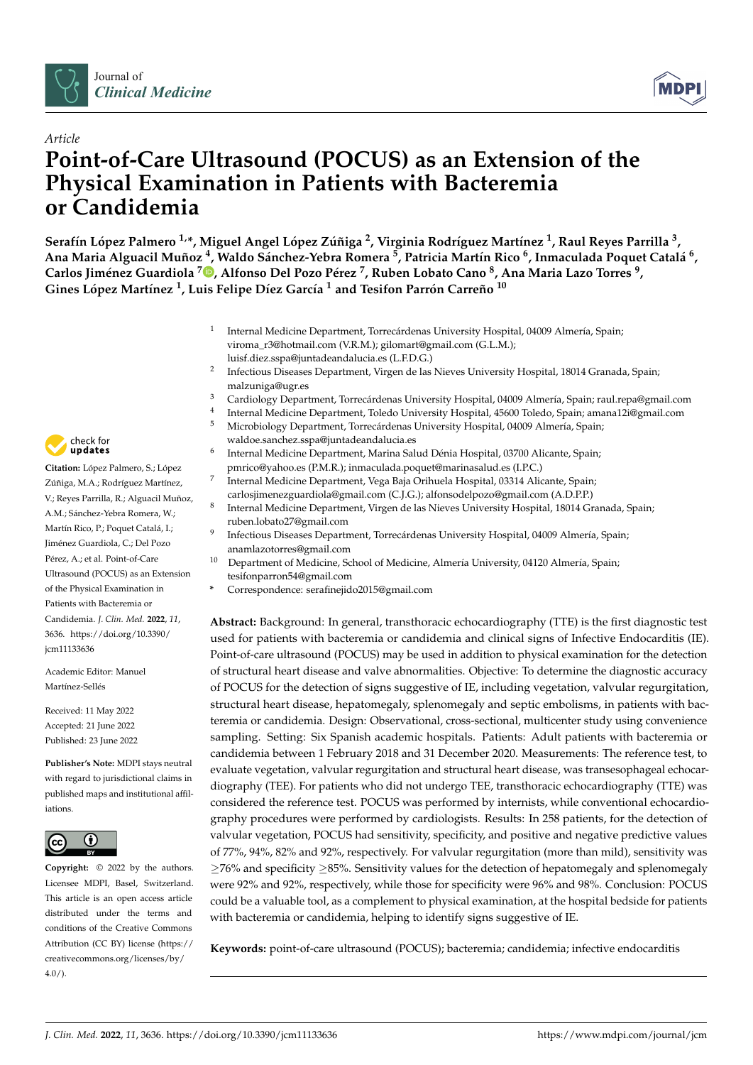



# *Article* **Point-of-Care Ultrasound (POCUS) as an Extension of the Physical Examination in Patients with Bacteremia or Candidemia**

Serafín López Palmero <sup>1,</sup>\*, Miguel Angel López Zúñiga <sup>2</sup>, Virginia Rodríguez Martínez <sup>1</sup>, Raul Reyes Parrilla <sup>3</sup>, Ana Maria Alguacil Muñoz <sup>4</sup>, Waldo Sánchez-Yebra Romera <sup>5</sup>, Patricia Martín Rico <sup>6</sup>, Inmaculada Poquet Catalá <sup>6</sup>, **Carlos Jiménez Guardiola [7](https://orcid.org/0000-0002-1695-0911) , Alfonso Del Pozo Pérez <sup>7</sup> , Ruben Lobato Cano <sup>8</sup> , Ana Maria Lazo Torres <sup>9</sup> , Gines López Martínez <sup>1</sup> , Luis Felipe Díez García <sup>1</sup> and Tesifon Parrón Carreño <sup>10</sup>**

- 1 Internal Medicine Department, Torrecárdenas University Hospital, 04009 Almería, Spain; viroma\_r3@hotmail.com (V.R.M.); gilomart@gmail.com (G.L.M.);
	- luisf.diez.sspa@juntadeandalucia.es (L.F.D.G.)
- 2 Infectious Diseases Department, Virgen de las Nieves University Hospital, 18014 Granada, Spain; malzuniga@ugr.es
- <sup>3</sup> Cardiology Department, Torrecárdenas University Hospital, 04009 Almería, Spain; raul.repa@gmail.com 4
- Internal Medicine Department, Toledo University Hospital, 45600 Toledo, Spain; amana12i@gmail.com
- <sup>5</sup> Microbiology Department, Torrecárdenas University Hospital, 04009 Almería, Spain; waldoe.sanchez.sspa@juntadeandalucia.es
- Internal Medicine Department, Marina Salud Dénia Hospital, 03700 Alicante, Spain; pmrico@yahoo.es (P.M.R.); inmaculada.poquet@marinasalud.es (I.P.C.)
- Internal Medicine Department, Vega Baja Orihuela Hospital, 03314 Alicante, Spain;
- carlosjimenezguardiola@gmail.com (C.J.G.); alfonsodelpozo@gmail.com (A.D.P.P.) 8 Internal Medicine Department, Virgen de las Nieves University Hospital, 18014 Granada, Spain;
- ruben.lobato27@gmail.com 9 Infectious Diseases Department, Torrecárdenas University Hospital, 04009 Almería, Spain; anamlazotorres@gmail.com
- <sup>10</sup> Department of Medicine, School of Medicine, Almería University, 04120 Almería, Spain; tesifonparron54@gmail.com
- **\*** Correspondence: serafinejido2015@gmail.com

**Abstract:** Background: In general, transthoracic echocardiography (TTE) is the first diagnostic test used for patients with bacteremia or candidemia and clinical signs of Infective Endocarditis (IE). Point-of-care ultrasound (POCUS) may be used in addition to physical examination for the detection of structural heart disease and valve abnormalities. Objective: To determine the diagnostic accuracy of POCUS for the detection of signs suggestive of IE, including vegetation, valvular regurgitation, structural heart disease, hepatomegaly, splenomegaly and septic embolisms, in patients with bacteremia or candidemia. Design: Observational, cross-sectional, multicenter study using convenience sampling. Setting: Six Spanish academic hospitals. Patients: Adult patients with bacteremia or candidemia between 1 February 2018 and 31 December 2020. Measurements: The reference test, to evaluate vegetation, valvular regurgitation and structural heart disease, was transesophageal echocardiography (TEE). For patients who did not undergo TEE, transthoracic echocardiography (TTE) was considered the reference test. POCUS was performed by internists, while conventional echocardiography procedures were performed by cardiologists. Results: In 258 patients, for the detection of valvular vegetation, POCUS had sensitivity, specificity, and positive and negative predictive values of 77%, 94%, 82% and 92%, respectively. For valvular regurgitation (more than mild), sensitivity was ≥76% and specificity ≥85%. Sensitivity values for the detection of hepatomegaly and splenomegaly were 92% and 92%, respectively, while those for specificity were 96% and 98%. Conclusion: POCUS could be a valuable tool, as a complement to physical examination, at the hospital bedside for patients with bacteremia or candidemia, helping to identify signs suggestive of IE.

**Keywords:** point-of-care ultrasound (POCUS); bacteremia; candidemia; infective endocarditis



**Citation:** López Palmero, S.; López Zúñiga, M.A.; Rodríguez Martínez, V.; Reyes Parrilla, R.; Alguacil Muñoz, A.M.; Sánchez-Yebra Romera, W.; Martín Rico, P.; Poquet Catalá, I.; Jiménez Guardiola, C.; Del Pozo Pérez, A.; et al. Point-of-Care Ultrasound (POCUS) as an Extension of the Physical Examination in Patients with Bacteremia or Candidemia. *J. Clin. Med.* **2022**, *11*, 3636. [https://doi.org/10.3390/](https://doi.org/10.3390/jcm11133636) [jcm11133636](https://doi.org/10.3390/jcm11133636)

6

7

Academic Editor: Manuel Martínez-Sellés

Received: 11 May 2022 Accepted: 21 June 2022 Published: 23 June 2022

**Publisher's Note:** MDPI stays neutral with regard to jurisdictional claims in published maps and institutional affiliations.



**Copyright:** © 2022 by the authors. Licensee MDPI, Basel, Switzerland. This article is an open access article distributed under the terms and conditions of the Creative Commons Attribution (CC BY) license [\(https://](https://creativecommons.org/licenses/by/4.0/) [creativecommons.org/licenses/by/](https://creativecommons.org/licenses/by/4.0/)  $4.0/$ ).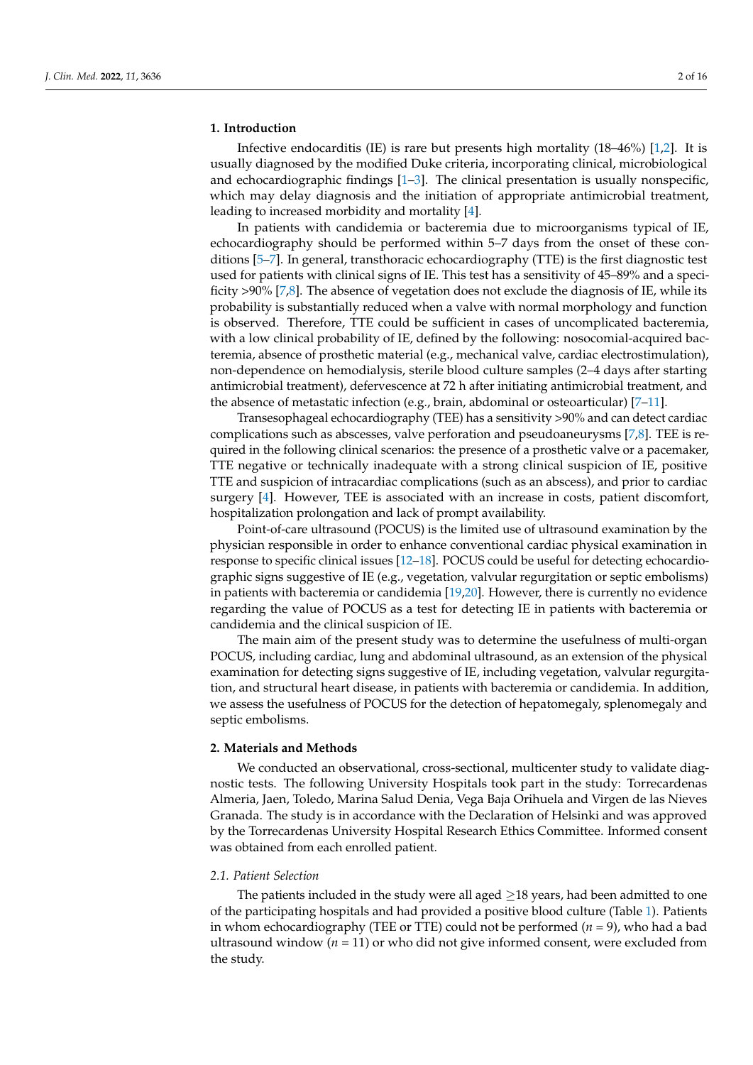#### **1. Introduction**

Infective endocarditis (IE) is rare but presents high mortality (18–46%) [\[1](#page-14-0)[,2\]](#page-14-1). It is usually diagnosed by the modified Duke criteria, incorporating clinical, microbiological and echocardiographic findings  $[1-3]$  $[1-3]$ . The clinical presentation is usually nonspecific, which may delay diagnosis and the initiation of appropriate antimicrobial treatment, leading to increased morbidity and mortality [\[4\]](#page-14-3).

In patients with candidemia or bacteremia due to microorganisms typical of IE, echocardiography should be performed within 5–7 days from the onset of these conditions [\[5](#page-14-4)[–7\]](#page-14-5). In general, transthoracic echocardiography (TTE) is the first diagnostic test used for patients with clinical signs of IE. This test has a sensitivity of 45–89% and a specificity >90% [\[7,](#page-14-5)[8\]](#page-14-6). The absence of vegetation does not exclude the diagnosis of IE, while its probability is substantially reduced when a valve with normal morphology and function is observed. Therefore, TTE could be sufficient in cases of uncomplicated bacteremia, with a low clinical probability of IE, defined by the following: nosocomial-acquired bacteremia, absence of prosthetic material (e.g., mechanical valve, cardiac electrostimulation), non-dependence on hemodialysis, sterile blood culture samples (2–4 days after starting antimicrobial treatment), defervescence at 72 h after initiating antimicrobial treatment, and the absence of metastatic infection (e.g., brain, abdominal or osteoarticular) [\[7](#page-14-5)[–11\]](#page-15-0).

Transesophageal echocardiography (TEE) has a sensitivity >90% and can detect cardiac complications such as abscesses, valve perforation and pseudoaneurysms [\[7,](#page-14-5)[8\]](#page-14-6). TEE is required in the following clinical scenarios: the presence of a prosthetic valve or a pacemaker, TTE negative or technically inadequate with a strong clinical suspicion of IE, positive TTE and suspicion of intracardiac complications (such as an abscess), and prior to cardiac surgery [\[4\]](#page-14-3). However, TEE is associated with an increase in costs, patient discomfort, hospitalization prolongation and lack of prompt availability.

Point-of-care ultrasound (POCUS) is the limited use of ultrasound examination by the physician responsible in order to enhance conventional cardiac physical examination in response to specific clinical issues [\[12](#page-15-1)[–18\]](#page-15-2). POCUS could be useful for detecting echocardiographic signs suggestive of IE (e.g., vegetation, valvular regurgitation or septic embolisms) in patients with bacteremia or candidemia [\[19,](#page-15-3)[20\]](#page-15-4). However, there is currently no evidence regarding the value of POCUS as a test for detecting IE in patients with bacteremia or candidemia and the clinical suspicion of IE.

The main aim of the present study was to determine the usefulness of multi-organ POCUS, including cardiac, lung and abdominal ultrasound, as an extension of the physical examination for detecting signs suggestive of IE, including vegetation, valvular regurgitation, and structural heart disease, in patients with bacteremia or candidemia. In addition, we assess the usefulness of POCUS for the detection of hepatomegaly, splenomegaly and septic embolisms.

#### **2. Materials and Methods**

We conducted an observational, cross-sectional, multicenter study to validate diagnostic tests. The following University Hospitals took part in the study: Torrecardenas Almeria, Jaen, Toledo, Marina Salud Denia, Vega Baja Orihuela and Virgen de las Nieves Granada. The study is in accordance with the Declaration of Helsinki and was approved by the Torrecardenas University Hospital Research Ethics Committee. Informed consent was obtained from each enrolled patient.

#### *2.1. Patient Selection*

The patients included in the study were all aged  $\geq$ 18 years, had been admitted to one of the participating hospitals and had provided a positive blood culture (Table [1\)](#page-2-0). Patients in whom echocardiography (TEE or TTE) could not be performed (*n* = 9), who had a bad ultrasound window (*n* = 11) or who did not give informed consent, were excluded from the study.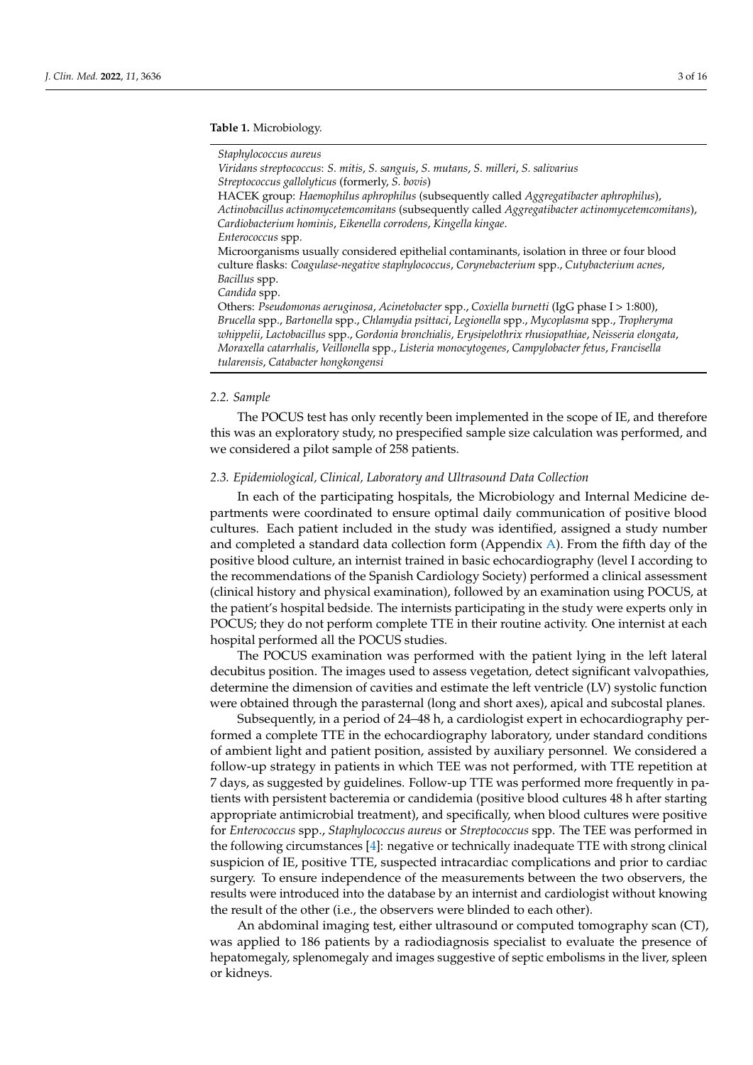#### <span id="page-2-0"></span>**Table 1.** Microbiology.

#### *Staphylococcus aureus*

*Viridans streptococcus*: *S. mitis*, *S. sanguis*, *S. mutans*, *S. milleri*, *S. salivarius Streptococcus gallolyticus* (formerly, *S. bovis*) HACEK group: *Haemophilus aphrophilus* (subsequently called *Aggregatibacter aphrophilus*), *Actinobacillus actinomycetemcomitans* (subsequently called *Aggregatibacter actinomycetemcomitans*), *Cardiobacterium hominis*, *Eikenella corrodens*, *Kingella kingae*. *Enterococcus* spp. Microorganisms usually considered epithelial contaminants, isolation in three or four blood culture flasks: *Coagulase-negative staphylococcus*, *Corynebacterium* spp., *Cutybacterium acnes*, *Bacillus* spp. *Candida* spp. Others: *Pseudomonas aeruginosa*, *Acinetobacter* spp., *Coxiella burnetti* (IgG phase I > 1:800), *Brucella* spp., *Bartonella* spp., *Chlamydia psittaci*, *Legionella* spp., *Mycoplasma* spp., *Tropheryma whippelii*, *Lactobacillus* spp., *Gordonia bronchialis*, *Erysipelothrix rhusiopathiae*, *Neisseria elongata*, *Moraxella catarrhalis*, *Veillonella* spp., *Listeria monocytogenes*, *Campylobacter fetus*, *Francisella tularensis*, *Catabacter hongkongensi*

#### *2.2. Sample*

The POCUS test has only recently been implemented in the scope of IE, and therefore this was an exploratory study, no prespecified sample size calculation was performed, and we considered a pilot sample of 258 patients.

#### *2.3. Epidemiological, Clinical, Laboratory and Ultrasound Data Collection*

In each of the participating hospitals, the Microbiology and Internal Medicine departments were coordinated to ensure optimal daily communication of positive blood cultures. Each patient included in the study was identified, assigned a study number and completed a standard data collection form (Appendix [A\)](#page-10-0). From the fifth day of the positive blood culture, an internist trained in basic echocardiography (level I according to the recommendations of the Spanish Cardiology Society) performed a clinical assessment (clinical history and physical examination), followed by an examination using POCUS, at the patient's hospital bedside. The internists participating in the study were experts only in POCUS; they do not perform complete TTE in their routine activity. One internist at each hospital performed all the POCUS studies.

The POCUS examination was performed with the patient lying in the left lateral decubitus position. The images used to assess vegetation, detect significant valvopathies, determine the dimension of cavities and estimate the left ventricle (LV) systolic function were obtained through the parasternal (long and short axes), apical and subcostal planes.

Subsequently, in a period of 24–48 h, a cardiologist expert in echocardiography performed a complete TTE in the echocardiography laboratory, under standard conditions of ambient light and patient position, assisted by auxiliary personnel. We considered a follow-up strategy in patients in which TEE was not performed, with TTE repetition at 7 days, as suggested by guidelines. Follow-up TTE was performed more frequently in patients with persistent bacteremia or candidemia (positive blood cultures 48 h after starting appropriate antimicrobial treatment), and specifically, when blood cultures were positive for *Enterococcus* spp., *Staphylococcus aureus* or *Streptococcus* spp. The TEE was performed in the following circumstances [\[4\]](#page-14-3): negative or technically inadequate TTE with strong clinical suspicion of IE, positive TTE, suspected intracardiac complications and prior to cardiac surgery. To ensure independence of the measurements between the two observers, the results were introduced into the database by an internist and cardiologist without knowing the result of the other (i.e., the observers were blinded to each other).

An abdominal imaging test, either ultrasound or computed tomography scan (CT), was applied to 186 patients by a radiodiagnosis specialist to evaluate the presence of hepatomegaly, splenomegaly and images suggestive of septic embolisms in the liver, spleen or kidneys.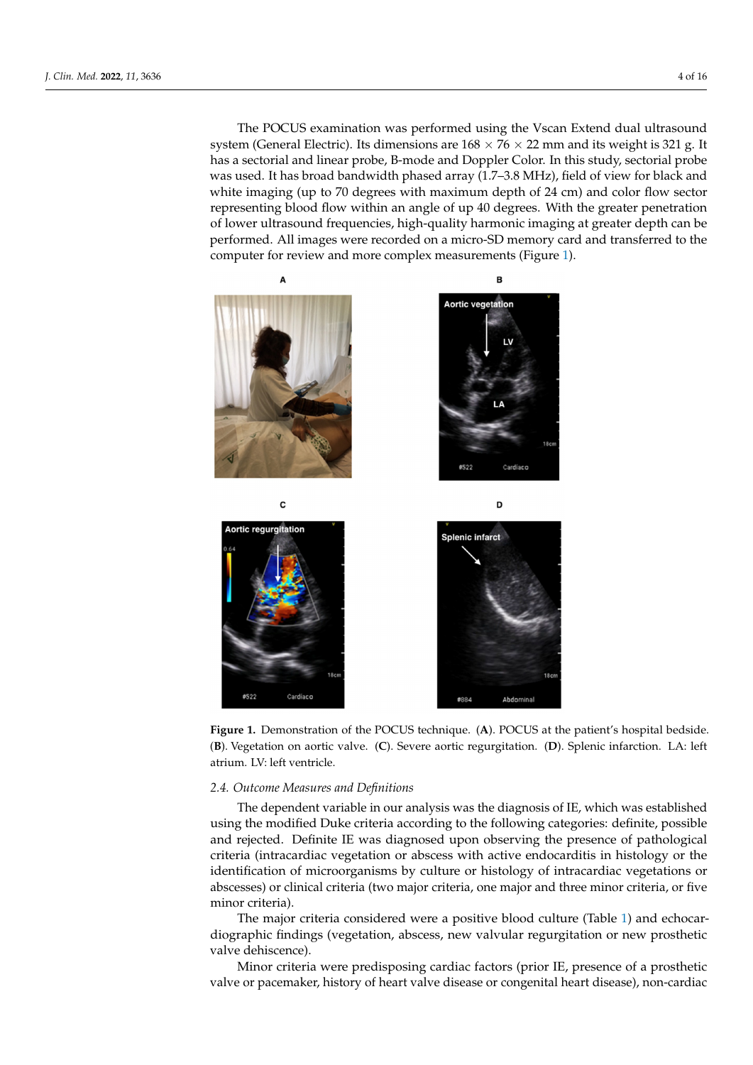The POCUS examination was performed using the Vscan Extend dual ultrasound system (General Electric). Its dimensions are  $168 \times 76 \times 22$  mm and its weight is 321 g. It has a sectorial and linear probe, B-mode and Doppler Color. In this study, sectorial probe was used. It has broad bandwidth phased array (1.7–3.8 MHz), field of view for black and view for black and white imaging (up to 70 degrees with maximum depth of 24 cm) and color flow sector representing blood flow within an angle of up 40 degrees. With the greater penetration of lower ultrasound frequencies, high-quality harmonic imaging at greater depth can be<br>formed. All induces were recorded to the depth on a microscopy of the depth on a microscopy of the depth on an performed. All images were recorded on a micro-SD memory card and transferred to the computer for review and more complex measurements (Figure [1\)](#page-3-0). The POCUS examination was performed using the Vscan Extend dual ultrasound

<span id="page-3-0"></span>

Figure 1. Demonstration of the POCUS technique. (A). POCUS at the patient's hospital bedside. (B). Vegetation on aortic valve. (C). Severe aortic regurgitation. (D). Splenic infarction. LA: left LV: left ventricle. atrium. LV: left ventricle.

# *2.4. Outcome Measures and Definitions 2.4. Outcome Measures and Definitions*

The dependent variable in our analysis was the diagnosis of IE, which was established lished using the modified Duke criteria according to the following categories: definite, using the modified Duke criteria according to the following categories: definite, possible and rejected. Definite IE was diagnosed upon observing the presence of pathological criteria (intracardiac vegetation or abscess with active endocarditis in histology or the identification of microorganisms by culture or histology of intracardiac vegetations or abscesses) or clinical criteria (two major criteria, one major and three minor criteria, or five minor criteria).

The major criteria considered were a positive blood culture (Table [1\)](#page-2-0) and echocardiographic findings (vegetation, abscess, new valvular regurgitation or new prosthetic valve dehiscence).

Minor criteria were predisposing cardiac factors (prior IE, presence of a prosthetic valve or pacemaker, history of heart valve disease or congenital heart disease), non-cardiac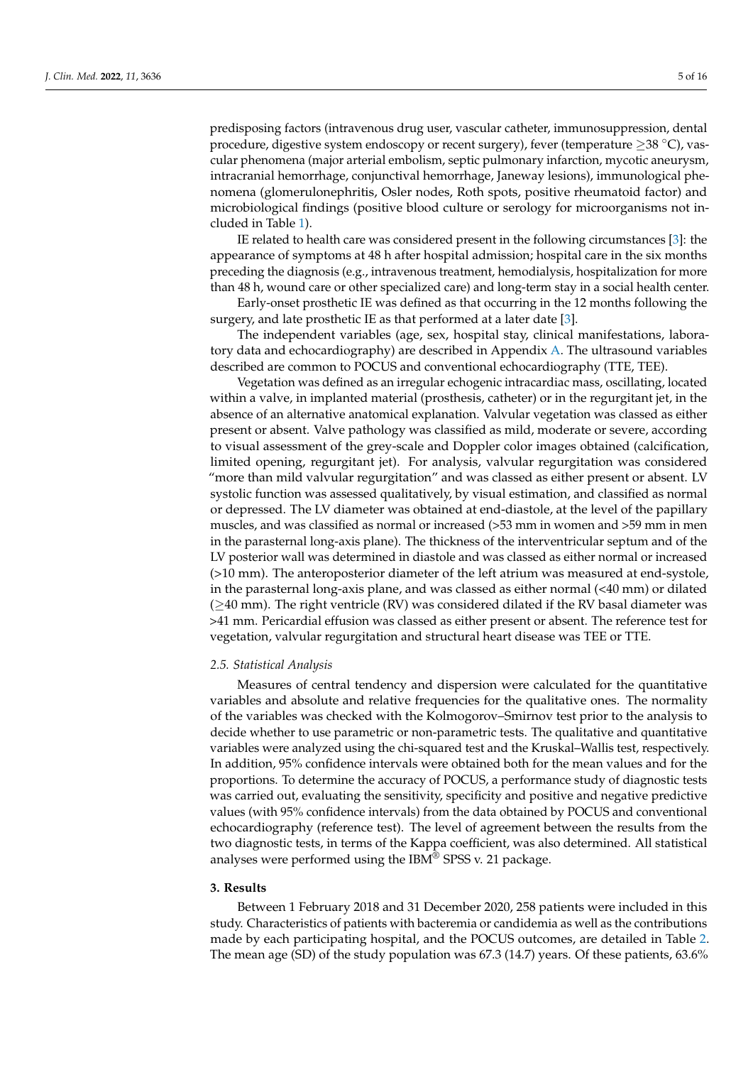predisposing factors (intravenous drug user, vascular catheter, immunosuppression, dental procedure, digestive system endoscopy or recent surgery), fever (temperature  $\geq$ 38 °C), vascular phenomena (major arterial embolism, septic pulmonary infarction, mycotic aneurysm, intracranial hemorrhage, conjunctival hemorrhage, Janeway lesions), immunological phenomena (glomerulonephritis, Osler nodes, Roth spots, positive rheumatoid factor) and microbiological findings (positive blood culture or serology for microorganisms not included in Table [1\)](#page-2-0).

IE related to health care was considered present in the following circumstances [\[3\]](#page-14-2): the appearance of symptoms at 48 h after hospital admission; hospital care in the six months preceding the diagnosis (e.g., intravenous treatment, hemodialysis, hospitalization for more than 48 h, wound care or other specialized care) and long-term stay in a social health center.

Early-onset prosthetic IE was defined as that occurring in the 12 months following the surgery, and late prosthetic IE as that performed at a later date [\[3\]](#page-14-2).

The independent variables (age, sex, hospital stay, clinical manifestations, laboratory data and echocardiography) are described in Appendix [A.](#page-10-0) The ultrasound variables described are common to POCUS and conventional echocardiography (TTE, TEE).

Vegetation was defined as an irregular echogenic intracardiac mass, oscillating, located within a valve, in implanted material (prosthesis, catheter) or in the regurgitant jet, in the absence of an alternative anatomical explanation. Valvular vegetation was classed as either present or absent. Valve pathology was classified as mild, moderate or severe, according to visual assessment of the grey-scale and Doppler color images obtained (calcification, limited opening, regurgitant jet). For analysis, valvular regurgitation was considered "more than mild valvular regurgitation" and was classed as either present or absent. LV systolic function was assessed qualitatively, by visual estimation, and classified as normal or depressed. The LV diameter was obtained at end-diastole, at the level of the papillary muscles, and was classified as normal or increased (>53 mm in women and >59 mm in men in the parasternal long-axis plane). The thickness of the interventricular septum and of the LV posterior wall was determined in diastole and was classed as either normal or increased (>10 mm). The anteroposterior diameter of the left atrium was measured at end-systole, in the parasternal long-axis plane, and was classed as either normal (<40 mm) or dilated  $(≥40$  mm). The right ventricle (RV) was considered dilated if the RV basal diameter was >41 mm. Pericardial effusion was classed as either present or absent. The reference test for vegetation, valvular regurgitation and structural heart disease was TEE or TTE.

#### *2.5. Statistical Analysis*

Measures of central tendency and dispersion were calculated for the quantitative variables and absolute and relative frequencies for the qualitative ones. The normality of the variables was checked with the Kolmogorov–Smirnov test prior to the analysis to decide whether to use parametric or non-parametric tests. The qualitative and quantitative variables were analyzed using the chi-squared test and the Kruskal–Wallis test, respectively. In addition, 95% confidence intervals were obtained both for the mean values and for the proportions. To determine the accuracy of POCUS, a performance study of diagnostic tests was carried out, evaluating the sensitivity, specificity and positive and negative predictive values (with 95% confidence intervals) from the data obtained by POCUS and conventional echocardiography (reference test). The level of agreement between the results from the two diagnostic tests, in terms of the Kappa coefficient, was also determined. All statistical analyses were performed using the IBM<sup>®</sup> SPSS v. 21 package.

#### **3. Results**

Between 1 February 2018 and 31 December 2020, 258 patients were included in this study. Characteristics of patients with bacteremia or candidemia as well as the contributions made by each participating hospital, and the POCUS outcomes, are detailed in Table [2.](#page-5-0) The mean age (SD) of the study population was 67.3 (14.7) years. Of these patients, 63.6%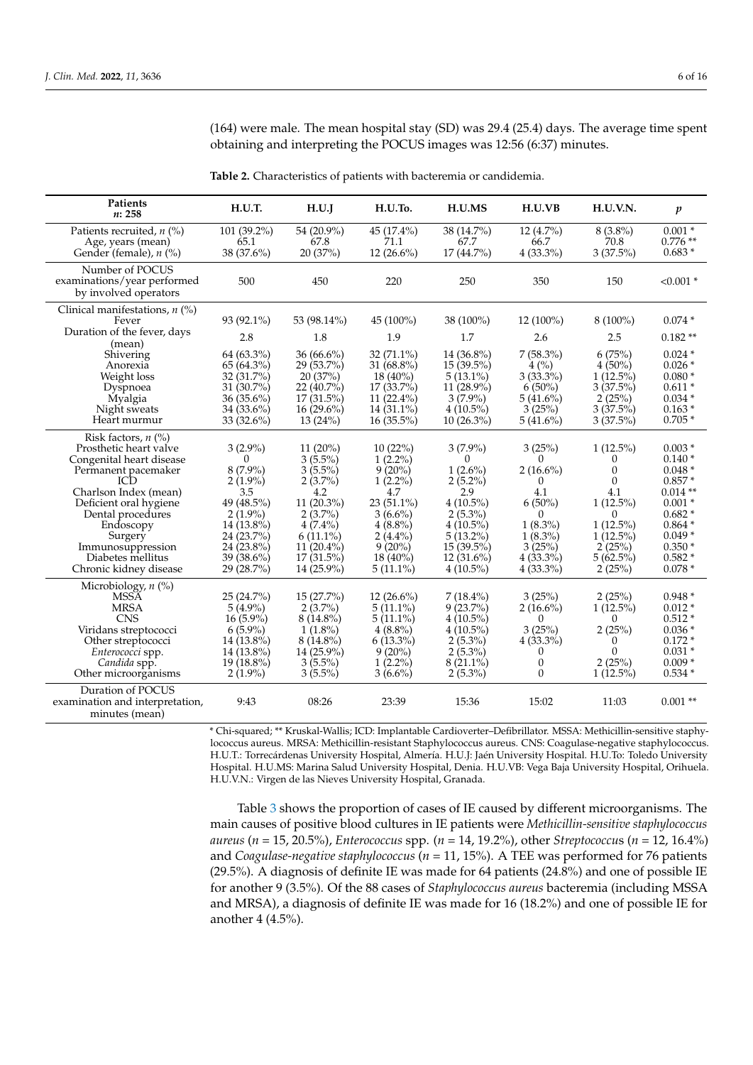(164) were male. The mean hospital stay (SD) was 29.4 (25.4) days. The average time spent obtaining and interpreting the POCUS images was 12:56 (6:37) minutes.

| Patients<br>n: 258               | H.U.T.       | H.U.J        | H.U.To.       | H.U.MS       | H.U.VB           | <b>H.U.V.N.</b> | $\boldsymbol{p}$ |
|----------------------------------|--------------|--------------|---------------|--------------|------------------|-----------------|------------------|
| Patients recruited, $n$ (%)      | 101 (39.2%)  | 54 (20.9%)   | 45 (17.4%)    | 38 (14.7%)   | 12 (4.7%)        | $8(3.8\%)$      | $0.001*$         |
| Age, years (mean)                | 65.1         | 67.8         | 71.1          | 67.7         | 66.7             | 70.8            | $0.776**$        |
| Gender (female), $n$ (%)         | 38 (37.6%)   | 20 (37%)     | 12 $(26.6\%)$ | 17 (44.7%)   | $4(33.3\%)$      | 3(37.5%)        | $0.683*$         |
|                                  |              |              |               |              |                  |                 |                  |
| Number of POCUS                  | 500          | 450          |               |              |                  |                 |                  |
| examinations/year performed      |              |              | 220           | 250          | 350              | 150             | $< 0.001$ *      |
| by involved operators            |              |              |               |              |                  |                 |                  |
| Clinical manifestations, $n$ (%) |              |              |               |              |                  |                 |                  |
| Fever                            | 93 (92.1%)   | 53 (98.14%)  | 45 (100%)     | 38 (100%)    | 12 (100%)        | $8(100\%)$      | $0.074*$         |
| Duration of the fever, days      | 2.8          | 1.8          | 1.9           | 1.7          | 2.6              | 2.5             | $0.182**$        |
| (mean)                           |              |              |               |              |                  |                 |                  |
| Shivering                        | 64 (63.3%)   | $36(66.6\%)$ | 32 (71.1%)    | 14 (36.8%)   | $7(58.3\%)$      | 6(75%)          | $0.024*$         |
| Anorexia                         | $65(64.3\%)$ | 29 (53.7%)   | 31 $(68.8\%)$ | $15(39.5\%)$ | $4\,(%)$         | $4(50\%)$       | $0.026*$         |
| Weight loss                      | 32 (31.7%)   | 20(37%)      | $18(40\%)$    | $5(13.1\%)$  | $3(33.3\%)$      | $1(12.5\%)$     | $0.080*$         |
| Dyspnoea                         | $31(30.7\%)$ | $22(40.7\%)$ | $17(33.7\%)$  | $11(28.9\%)$ | $6(50\%)$        | 3(37.5%)        | $0.611*$         |
| Myalgia                          | $36(35.6\%)$ | $17(31.5\%)$ | $11(22.4\%)$  | $3(7.9\%)$   | $5(41.6\%)$      | 2(25%)          | $0.034*$         |
| Night sweats                     | 34 (33.6%)   | $16(29.6\%)$ | $14(31.1\%)$  | $4(10.5\%)$  | 3(25%)           | 3(37.5%)        | $0.163*$         |
| Heart murmur                     | $33(32.6\%)$ | 13(24%)      | $16(35.5\%)$  | $10(26.3\%)$ | $5(41.6\%)$      | 3(37.5%)        | $0.705*$         |
| Risk factors, $n$ (%)            |              |              |               |              |                  |                 |                  |
| Prosthetic heart valve           | $3(2.9\%)$   | $11(20\%)$   | 10(22%)       | $3(7.9\%)$   | 3(25%)           | $1(12.5\%)$     | $0.003*$         |
| Congenital heart disease         | $\Omega$     | $3(5.5\%)$   | $1(2.2\%)$    | $\Omega$     | 0                | $\Omega$        | $0.140*$         |
| Permanent pacemaker              | $8(7.9\%)$   | $3(5.5\%)$   | $9(20\%)$     | $1(2.6\%)$   | $2(16.6\%)$      | $\theta$        | $0.048*$         |
| ICD                              | $2(1.9\%)$   | $2(3.7\%)$   | $1(2.2\%)$    | $2(5.2\%)$   | 0                | $\Omega$        | $0.857*$         |
| Charlson Index (mean)            | 3.5          | 4.2          | 4.7           | 2.9          | 4.1              | 4.1             | $0.014**$        |
| Deficient oral hygiene           | 49 (48.5%)   | 11 (20.3%)   | $23(51.1\%)$  | $4(10.5\%)$  | $6(50\%)$        | $1(12.5\%)$     | $0.001 *$        |
| Dental procedures                | $2(1.9\%)$   | $2(3.7\%)$   | $3(6.6\%)$    | $2(5.3\%)$   | $\Omega$         | $\Omega$        | $0.682*$         |
| Endoscopy                        | $14(13.8\%)$ | $4(7.4\%)$   | $4(8.8\%)$    | $4(10.5\%)$  | $1(8.3\%)$       | $1(12.5\%)$     | $0.864*$         |
| Surgery                          | 24 (23.7%)   | $6(11.1\%)$  | $2(4.4\%)$    | $5(13.2\%)$  | $1(8.3\%)$       | $1(12.5\%)$     | $0.049*$         |
| Immunosuppression                | $24(23.8\%)$ | $11(20.4\%)$ | $9(20\%)$     | $15(39.5\%)$ | 3(25%)           | 2(25%)          | $0.350*$         |
| Diabetes mellitus                | $39(38.6\%)$ | $17(31.5\%)$ | $18(40\%)$    | $12(31.6\%)$ | $4(33.3\%)$      | $5(62.5\%)$     | $0.582*$         |
| Chronic kidney disease           | 29 (28.7%)   | 14 (25.9%)   | $5(11.1\%)$   | $4(10.5\%)$  | $4(33.3\%)$      | 2(25%)          | $0.078*$         |
| Microbiology, $n$ (%)            |              |              |               |              |                  |                 |                  |
| <b>MSSA</b>                      | 25 (24.7%)   | 15 (27.7%)   | $12(26.6\%)$  | $7(18.4\%)$  | 3(25%)           | 2(25%)          | $0.948*$         |
| <b>MRSA</b>                      | $5(4.9\%)$   | $2(3.7\%)$   | $5(11.1\%)$   | $9(23.7\%)$  | $2(16.6\%)$      | $1(12.5\%)$     | $0.012*$         |
| <b>CNS</b>                       | $16(5.9\%)$  | $8(14.8\%)$  | $5(11.1\%)$   | $4(10.5\%)$  | 0                | 0               | $0.512*$         |
| Viridans streptococci            | $6(5.9\%)$   | $1(1.8\%)$   | $4(8.8\%)$    | $4(10.5\%)$  | 3(25%)           | 2(25%)          | $0.036*$         |
| Other streptococci               | $14(13.8\%)$ | $8(14.8\%)$  | $6(13.3\%)$   | $2(5.3\%)$   | $4(33.3\%)$      | 0               | $0.172*$         |
| Enterococci spp.                 | $14(13.8\%)$ | 14 (25.9%)   | $9(20\%)$     | $2(5.3\%)$   | 0                | $\theta$        | $0.031*$         |
| Candida spp.                     | $19(18.8\%)$ | $3(5.5\%)$   | $1(2.2\%)$    | $8(21.1\%)$  | $\boldsymbol{0}$ | 2(25%)          | $0.009*$         |
| Other microorganisms             | $2(1.9\%)$   | $3(5.5\%)$   | $3(6.6\%)$    | $2(5.3\%)$   | $\Omega$         | $1(12.5\%)$     | $0.534*$         |
| Duration of POCUS                |              |              |               |              |                  |                 |                  |
| examination and interpretation,  | 9:43         | 08:26        | 23:39         | 15:36        | 15:02            | 11:03           | $0.001**$        |
| minutes (mean)                   |              |              |               |              |                  |                 |                  |
|                                  |              |              |               |              |                  |                 |                  |

<span id="page-5-0"></span>**Table 2.** Characteristics of patients with bacteremia or candidemia.

\* Chi-squared; \*\* Kruskal-Wallis; ICD: Implantable Cardioverter–Defibrillator. MSSA: Methicillin-sensitive staphylococcus aureus. MRSA: Methicillin-resistant Staphylococcus aureus. CNS: Coagulase-negative staphylococcus. H.U.T.: Torrecárdenas University Hospital, Almería. H.U.J: Jaén University Hospital. H.U.To: Toledo University Hospital. H.U.MS: Marina Salud University Hospital, Denia. H.U.VB: Vega Baja University Hospital, Orihuela. H.U.V.N.: Virgen de las Nieves University Hospital, Granada.

Table [3](#page-6-0) shows the proportion of cases of IE caused by different microorganisms. The main causes of positive blood cultures in IE patients were *Methicillin-sensitive staphylococcus aureus* (*n* = 15, 20.5%), *Enterococcus* spp. (*n* = 14, 19.2%), other *Streptococcus* (*n* = 12, 16.4%) and *Coagulase-negative staphylococcus* (*n* = 11, 15%). A TEE was performed for 76 patients (29.5%). A diagnosis of definite IE was made for 64 patients (24.8%) and one of possible IE for another 9 (3.5%). Of the 88 cases of *Staphylococcus aureus* bacteremia (including MSSA and MRSA), a diagnosis of definite IE was made for 16 (18.2%) and one of possible IE for another 4 (4.5%).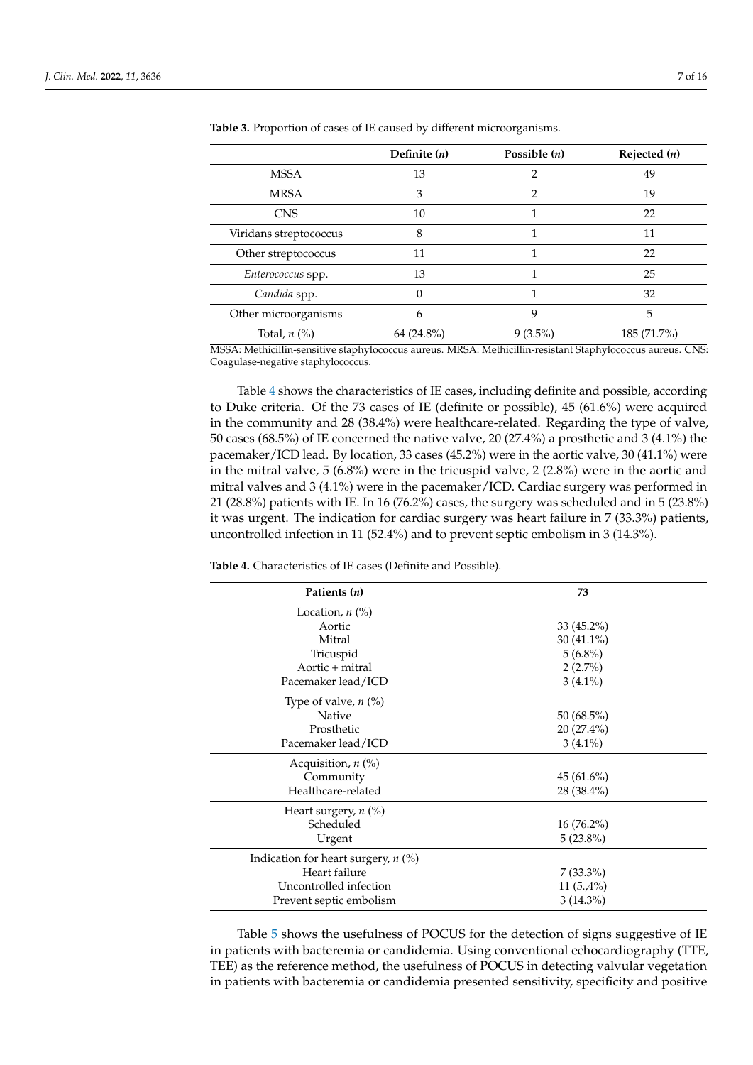|                        | Definite $(n)$ | Possible $(n)$ | Rejected $(n)$ |
|------------------------|----------------|----------------|----------------|
| <b>MSSA</b>            | 13             | 2              | 49             |
| <b>MRSA</b>            | 3              | $\overline{2}$ | 19             |
| <b>CNS</b>             | 10             |                | 22             |
| Viridans streptococcus | 8              |                | 11             |
| Other streptococcus    | 11             | 1              | 22             |
| Enterococcus spp.      | 13             |                | 25             |
| Candida spp.           | 0              |                | 32             |
| Other microorganisms   | 6              | 9              | 5              |
| Total, $n$ (%)         | 64 (24.8%)     | $9(3.5\%)$     | 185 (71.7%)    |

<span id="page-6-0"></span>**Table 3.** Proportion of cases of IE caused by different microorganisms.

MSSA: Methicillin-sensitive staphylococcus aureus. MRSA: Methicillin-resistant Staphylococcus aureus. CNS: Coagulase-negative staphylococcus.

Table [4](#page-6-1) shows the characteristics of IE cases, including definite and possible, according to Duke criteria. Of the 73 cases of IE (definite or possible), 45 (61.6%) were acquired in the community and 28 (38.4%) were healthcare-related. Regarding the type of valve, 50 cases (68.5%) of IE concerned the native valve, 20 (27.4%) a prosthetic and 3 (4.1%) the pacemaker/ICD lead. By location, 33 cases (45.2%) were in the aortic valve, 30 (41.1%) were in the mitral valve, 5 (6.8%) were in the tricuspid valve, 2 (2.8%) were in the aortic and mitral valves and 3 (4.1%) were in the pacemaker/ICD. Cardiac surgery was performed in 21 (28.8%) patients with IE. In 16 (76.2%) cases, the surgery was scheduled and in 5 (23.8%) it was urgent. The indication for cardiac surgery was heart failure in 7 (33.3%) patients, uncontrolled infection in 11 (52.4%) and to prevent septic embolism in 3 (14.3%).

<span id="page-6-1"></span>**Table 4.** Characteristics of IE cases (Definite and Possible).

| Patients (n)                          | 73           |  |
|---------------------------------------|--------------|--|
| Location, $n$ $\left(\% \right)$      |              |  |
| Aortic                                | $33(45.2\%)$ |  |
| Mitral                                | $30(41.1\%)$ |  |
| Tricuspid                             | $5(6.8\%)$   |  |
| Aortic + mitral                       | $2(2.7\%)$   |  |
| Pacemaker lead/ICD                    | $3(4.1\%)$   |  |
| Type of valve, $n$ (%)                |              |  |
| <b>Native</b>                         | $50(68.5\%)$ |  |
| Prosthetic                            | 20 (27.4%)   |  |
| Pacemaker lead/ICD                    | $3(4.1\%)$   |  |
| Acquisition, $n$ (%)                  |              |  |
| Community                             | $45(61.6\%)$ |  |
| Healthcare-related                    | 28 (38.4%)   |  |
| Heart surgery, $n$ (%)                |              |  |
| Scheduled                             | $16(76.2\%)$ |  |
| Urgent                                | $5(23.8\%)$  |  |
| Indication for heart surgery, $n$ (%) |              |  |
| Heart failure                         | $7(33.3\%)$  |  |
| Uncontrolled infection                | $11(5.4\%)$  |  |
| Prevent septic embolism               | $3(14.3\%)$  |  |

Table [5](#page-7-0) shows the usefulness of POCUS for the detection of signs suggestive of IE in patients with bacteremia or candidemia. Using conventional echocardiography (TTE, TEE) as the reference method, the usefulness of POCUS in detecting valvular vegetation in patients with bacteremia or candidemia presented sensitivity, specificity and positive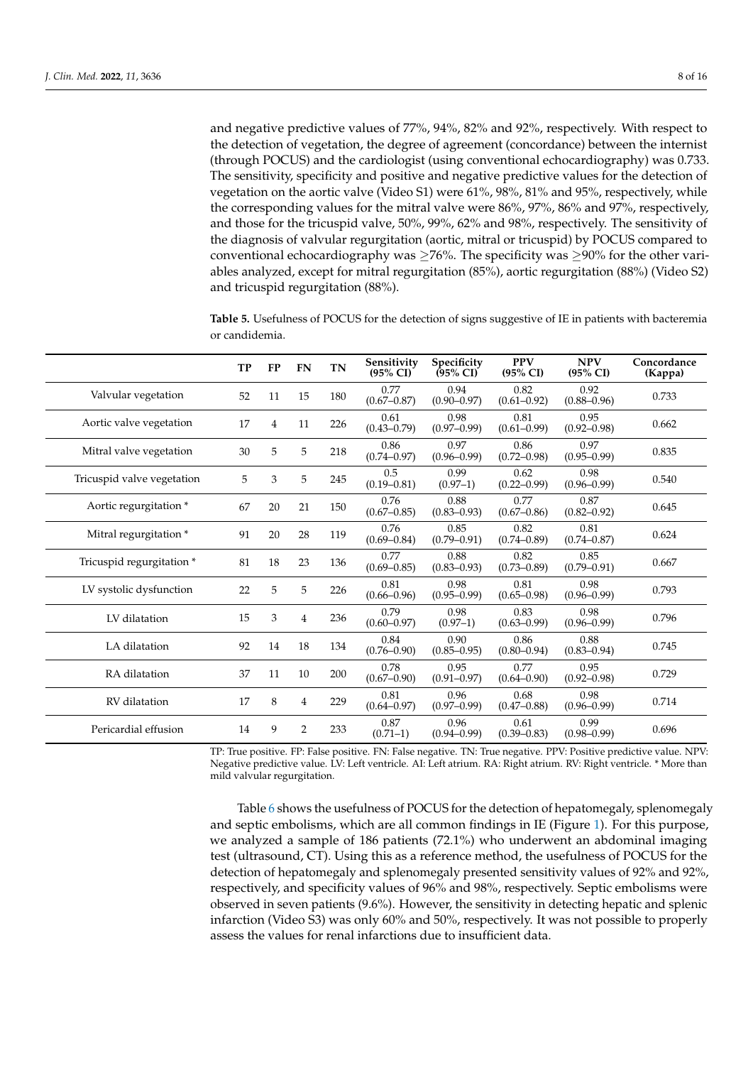and negative predictive values of 77%, 94%, 82% and 92%, respectively. With respect to the detection of vegetation, the degree of agreement (concordance) between the internist (through POCUS) and the cardiologist (using conventional echocardiography) was 0.733. The sensitivity, specificity and positive and negative predictive values for the detection of vegetation on the aortic valve (Video S1) were 61%, 98%, 81% and 95%, respectively, while the corresponding values for the mitral valve were 86%, 97%, 86% and 97%, respectively, and those for the tricuspid valve, 50%, 99%, 62% and 98%, respectively. The sensitivity of

the diagnosis of valvular regurgitation (aortic, mitral or tricuspid) by POCUS compared to conventional echocardiography was  $\geq$ 76%. The specificity was  $\geq$ 90% for the other variables analyzed, except for mitral regurgitation (85%), aortic regurgitation (88%) (Video S2) and tricuspid regurgitation (88%).

<span id="page-7-0"></span>**Table 5.** Usefulness of POCUS for the detection of signs suggestive of IE in patients with bacteremia or candidemia.

|                            | <b>TP</b> | <b>FP</b> | <b>FN</b>      | <b>TN</b> | Sensitivity<br>$(95\% \text{ CI})$ | Specificity<br>$(95\% \text{ CI})$ | <b>PPV</b><br>(95% CI)  | <b>NPV</b><br>$(95\% \text{ CI})$ | Concordance<br>(Kappa) |
|----------------------------|-----------|-----------|----------------|-----------|------------------------------------|------------------------------------|-------------------------|-----------------------------------|------------------------|
| Valvular vegetation        | 52        | 11        | 15             | 180       | 0.77<br>$(0.67 - 0.87)$            | 0.94<br>$(0.90 - 0.97)$            | 0.82<br>$(0.61 - 0.92)$ | 0.92<br>$(0.88 - 0.96)$           | 0.733                  |
| Aortic valve vegetation    | 17        | 4         | 11             | 226       | 0.61<br>$(0.43 - 0.79)$            | 0.98<br>$(0.97 - 0.99)$            | 0.81<br>$(0.61 - 0.99)$ | 0.95<br>$(0.92 - 0.98)$           | 0.662                  |
| Mitral valve vegetation    | 30        | 5         | 5              | 218       | 0.86<br>$(0.74 - 0.97)$            | 0.97<br>$(0.96 - 0.99)$            | 0.86<br>$(0.72 - 0.98)$ | 0.97<br>$(0.95 - 0.99)$           | 0.835                  |
| Tricuspid valve vegetation | 5         | 3         | 5              | 245       | 0.5<br>$(0.19 - 0.81)$             | 0.99<br>$(0.97-1)$                 | 0.62<br>$(0.22 - 0.99)$ | 0.98<br>$(0.96 - 0.99)$           | 0.540                  |
| Aortic regurgitation *     | 67        | 20        | 21             | 150       | 0.76<br>$(0.67 - 0.85)$            | 0.88<br>$(0.83 - 0.93)$            | 0.77<br>$(0.67 - 0.86)$ | 0.87<br>$(0.82 - 0.92)$           | 0.645                  |
| Mitral regurgitation *     | 91        | 20        | 28             | 119       | 0.76<br>$(0.69 - 0.84)$            | 0.85<br>$(0.79 - 0.91)$            | 0.82<br>$(0.74 - 0.89)$ | 0.81<br>$(0.74 - 0.87)$           | 0.624                  |
| Tricuspid regurgitation *  | 81        | 18        | 23             | 136       | 0.77<br>$(0.69 - 0.85)$            | 0.88<br>$(0.83 - 0.93)$            | 0.82<br>$(0.73 - 0.89)$ | 0.85<br>$(0.79 - 0.91)$           | 0.667                  |
| LV systolic dysfunction    | 22        | 5         | 5              | 226       | 0.81<br>$(0.66 - 0.96)$            | 0.98<br>$(0.95 - 0.99)$            | 0.81<br>$(0.65 - 0.98)$ | 0.98<br>$(0.96 - 0.99)$           | 0.793                  |
| LV dilatation              | 15        | 3         | $\overline{4}$ | 236       | 0.79<br>$(0.60 - 0.97)$            | 0.98<br>$(0.97-1)$                 | 0.83<br>$(0.63 - 0.99)$ | 0.98<br>$(0.96 - 0.99)$           | 0.796                  |
| LA dilatation              | 92        | 14        | 18             | 134       | 0.84<br>$(0.76 - 0.90)$            | 0.90<br>$(0.85 - 0.95)$            | 0.86<br>$(0.80 - 0.94)$ | 0.88<br>$(0.83 - 0.94)$           | 0.745                  |
| RA dilatation              | 37        | 11        | 10             | 200       | 0.78<br>$(0.67 - 0.90)$            | 0.95<br>$(0.91 - 0.97)$            | 0.77<br>$(0.64 - 0.90)$ | 0.95<br>$(0.92 - 0.98)$           | 0.729                  |
| RV dilatation              | 17        | 8         | $\overline{4}$ | 229       | 0.81<br>$(0.64 - 0.97)$            | 0.96<br>$(0.97 - 0.99)$            | 0.68<br>$(0.47 - 0.88)$ | 0.98<br>$(0.96 - 0.99)$           | 0.714                  |
| Pericardial effusion       | 14        | 9         | 2              | 233       | 0.87<br>$(0.71-1)$                 | 0.96<br>$(0.94 - 0.99)$            | 0.61<br>$(0.39 - 0.83)$ | 0.99<br>$(0.98 - 0.99)$           | 0.696                  |

TP: True positive. FP: False positive. FN: False negative. TN: True negative. PPV: Positive predictive value. NPV: Negative predictive value. LV: Left ventricle. AI: Left atrium. RA: Right atrium. RV: Right ventricle. \* More than mild valvular regurgitation.

Table [6](#page-8-0) shows the usefulness of POCUS for the detection of hepatomegaly, splenomegaly and septic embolisms, which are all common findings in IE (Figure [1\)](#page-3-0). For this purpose, we analyzed a sample of 186 patients (72.1%) who underwent an abdominal imaging test (ultrasound, CT). Using this as a reference method, the usefulness of POCUS for the detection of hepatomegaly and splenomegaly presented sensitivity values of 92% and 92%, respectively, and specificity values of 96% and 98%, respectively. Septic embolisms were observed in seven patients (9.6%). However, the sensitivity in detecting hepatic and splenic infarction (Video S3) was only 60% and 50%, respectively. It was not possible to properly assess the values for renal infarctions due to insufficient data.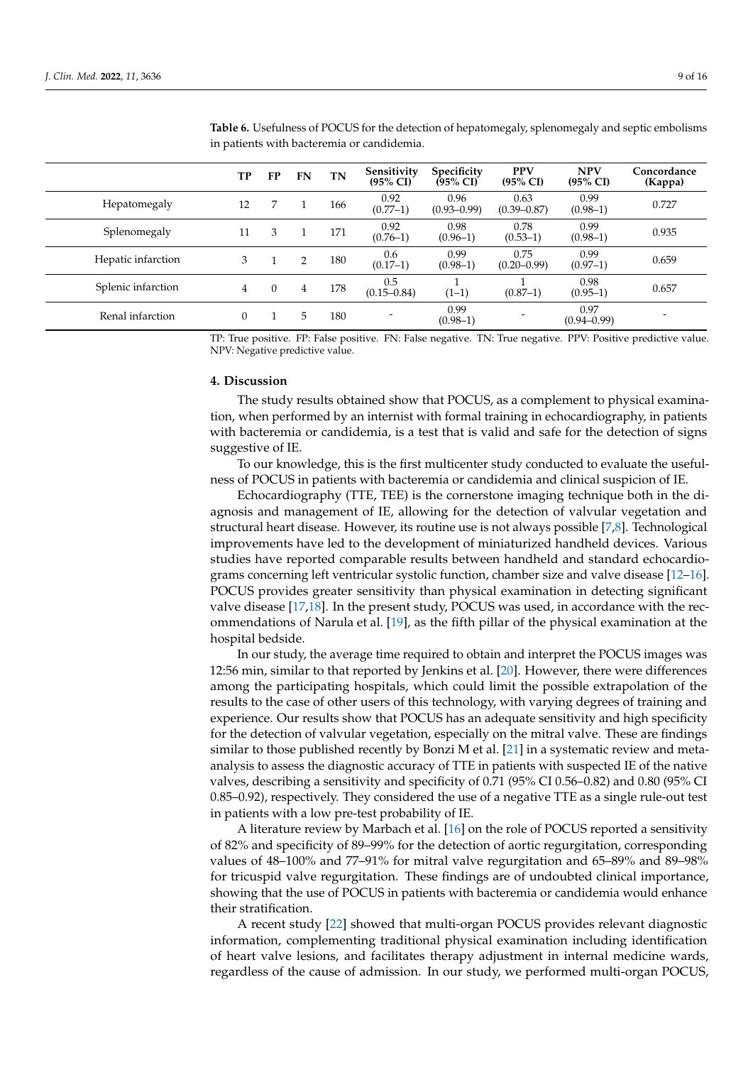|                    | TP       | FP | FN            | TN  | Sensitivity<br>$(95\% \text{ CI})$ | Specificity<br>$(95\% \text{ CI})$ | <b>PPV</b><br>(95% CI)  | <b>NPV</b><br>$(95\% \text{ CI})$ | Concordance<br>(Kappa) |
|--------------------|----------|----|---------------|-----|------------------------------------|------------------------------------|-------------------------|-----------------------------------|------------------------|
| Hepatomegaly       | 12       | 7  |               | 166 | 0.92<br>$(0.77-1)$                 | 0.96<br>$(0.93 - 0.99)$            | 0.63<br>$(0.39 - 0.87)$ | 0.99<br>$(0.98-1)$                | 0.727                  |
| Splenomegaly       | 11       | 3  |               | 171 | 0.92<br>$(0.76-1)$                 | 0.98<br>$(0.96-1)$                 | 0.78<br>$(0.53-1)$      | 0.99<br>$(0.98-1)$                | 0.935                  |
| Hepatic infarction | 3        |    | $\mathcal{P}$ | 180 | 0.6<br>$(0.17-1)$                  | 0.99<br>$(0.98-1)$                 | 0.75<br>$(0.20 - 0.99)$ | 0.99<br>$(0.97-1)$                | 0.659                  |
| Splenic infarction | 4        |    | 4             | 178 | 0.5<br>$(0.15 - 0.84)$             | $(1-1)$                            | $(0.87-1)$              | 0.98<br>$(0.95-1)$                | 0.657                  |
| Renal infarction   | $\theta$ |    | 5             | 180 |                                    | 0.99<br>$(0.98-1)$                 |                         | 0.97<br>$(0.94 - 0.99)$           |                        |

<span id="page-8-0"></span>**Table 6.** Usefulness of POCUS for the detection of hepatomegaly, splenomegaly and septic embolisms in patients with bacteremia or candidemia.

TP: True positive. FP: False positive. FN: False negative. TN: True negative. PPV: Positive predictive value. NPV: Negative predictive value.

# **4. Discussion**

The study results obtained show that POCUS, as a complement to physical examination, when performed by an internist with formal training in echocardiography, in patients with bacteremia or candidemia, is a test that is valid and safe for the detection of signs suggestive of IE.

To our knowledge, this is the first multicenter study conducted to evaluate the usefulness of POCUS in patients with bacteremia or candidemia and clinical suspicion of IE.

Echocardiography (TTE, TEE) is the cornerstone imaging technique both in the diagnosis and management of IE, allowing for the detection of valvular vegetation and structural heart disease. However, its routine use is not always possible [\[7](#page-14-5)[,8\]](#page-14-6). Technological improvements have led to the development of miniaturized handheld devices. Various studies have reported comparable results between handheld and standard echocardiograms concerning left ventricular systolic function, chamber size and valve disease [\[12](#page-15-1)[–16\]](#page-15-5). POCUS provides greater sensitivity than physical examination in detecting significant valve disease [\[17](#page-15-6)[,18\]](#page-15-2). In the present study, POCUS was used, in accordance with the recommendations of Narula et al. [\[19\]](#page-15-3), as the fifth pillar of the physical examination at the hospital bedside.

In our study, the average time required to obtain and interpret the POCUS images was 12:56 min, similar to that reported by Jenkins et al. [\[20\]](#page-15-4). However, there were differences among the participating hospitals, which could limit the possible extrapolation of the results to the case of other users of this technology, with varying degrees of training and experience. Our results show that POCUS has an adequate sensitivity and high specificity for the detection of valvular vegetation, especially on the mitral valve. These are findings similar to those published recently by Bonzi M et al. [\[21\]](#page-15-7) in a systematic review and metaanalysis to assess the diagnostic accuracy of TTE in patients with suspected IE of the native valves, describing a sensitivity and specificity of 0.71 (95% CI 0.56–0.82) and 0.80 (95% CI 0.85–0.92), respectively. They considered the use of a negative TTE as a single rule-out test in patients with a low pre-test probability of IE.

A literature review by Marbach et al. [\[16\]](#page-15-5) on the role of POCUS reported a sensitivity of 82% and specificity of 89–99% for the detection of aortic regurgitation, corresponding values of 48–100% and 77–91% for mitral valve regurgitation and 65–89% and 89–98% for tricuspid valve regurgitation. These findings are of undoubted clinical importance, showing that the use of POCUS in patients with bacteremia or candidemia would enhance their stratification.

A recent study [\[22\]](#page-15-8) showed that multi-organ POCUS provides relevant diagnostic information, complementing traditional physical examination including identification of heart valve lesions, and facilitates therapy adjustment in internal medicine wards, regardless of the cause of admission. In our study, we performed multi-organ POCUS,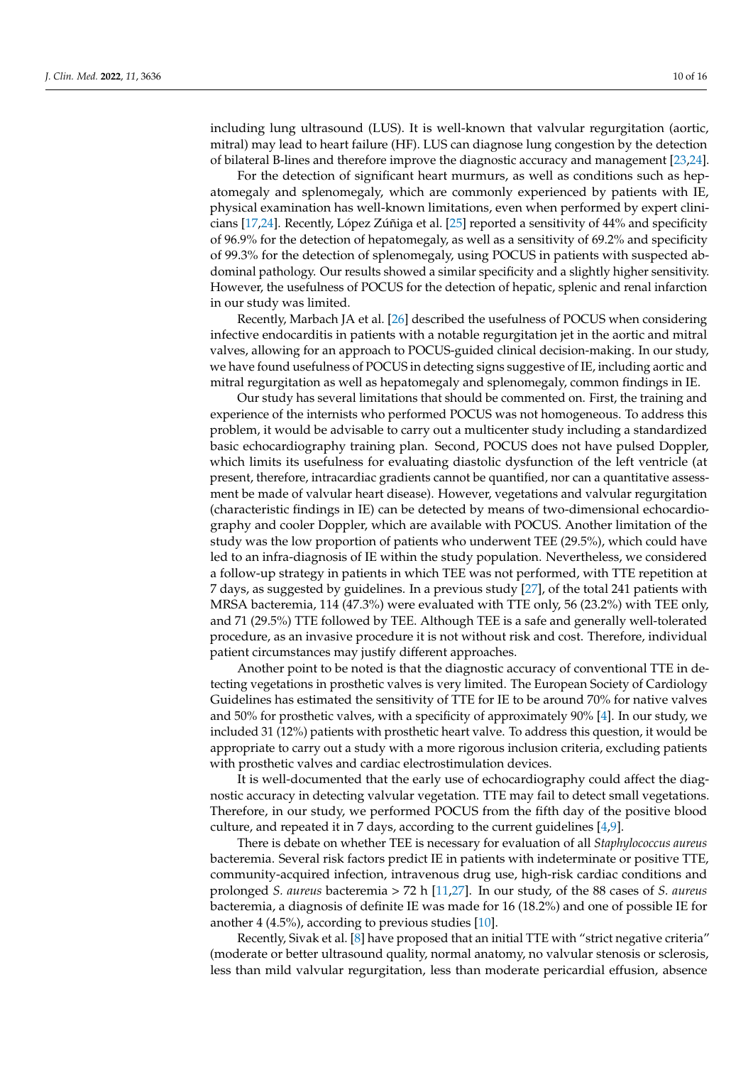including lung ultrasound (LUS). It is well-known that valvular regurgitation (aortic, mitral) may lead to heart failure (HF). LUS can diagnose lung congestion by the detection of bilateral B-lines and therefore improve the diagnostic accuracy and management [\[23](#page-15-9)[,24\]](#page-15-10).

For the detection of significant heart murmurs, as well as conditions such as hepatomegaly and splenomegaly, which are commonly experienced by patients with IE, physical examination has well-known limitations, even when performed by expert clinicians [\[17](#page-15-6)[,24\]](#page-15-10). Recently, López Zúñiga et al. [\[25\]](#page-15-11) reported a sensitivity of 44% and specificity of 96.9% for the detection of hepatomegaly, as well as a sensitivity of 69.2% and specificity of 99.3% for the detection of splenomegaly, using POCUS in patients with suspected abdominal pathology. Our results showed a similar specificity and a slightly higher sensitivity. However, the usefulness of POCUS for the detection of hepatic, splenic and renal infarction in our study was limited.

Recently, Marbach JA et al. [\[26\]](#page-15-12) described the usefulness of POCUS when considering infective endocarditis in patients with a notable regurgitation jet in the aortic and mitral valves, allowing for an approach to POCUS-guided clinical decision-making. In our study, we have found usefulness of POCUS in detecting signs suggestive of IE, including aortic and mitral regurgitation as well as hepatomegaly and splenomegaly, common findings in IE.

Our study has several limitations that should be commented on. First, the training and experience of the internists who performed POCUS was not homogeneous. To address this problem, it would be advisable to carry out a multicenter study including a standardized basic echocardiography training plan. Second, POCUS does not have pulsed Doppler, which limits its usefulness for evaluating diastolic dysfunction of the left ventricle (at present, therefore, intracardiac gradients cannot be quantified, nor can a quantitative assessment be made of valvular heart disease). However, vegetations and valvular regurgitation (characteristic findings in IE) can be detected by means of two-dimensional echocardiography and cooler Doppler, which are available with POCUS. Another limitation of the study was the low proportion of patients who underwent TEE (29.5%), which could have led to an infra-diagnosis of IE within the study population. Nevertheless, we considered a follow-up strategy in patients in which TEE was not performed, with TTE repetition at 7 days, as suggested by guidelines. In a previous study [\[27\]](#page-15-13), of the total 241 patients with MRSA bacteremia, 114 (47.3%) were evaluated with TTE only, 56 (23.2%) with TEE only, and 71 (29.5%) TTE followed by TEE. Although TEE is a safe and generally well-tolerated procedure, as an invasive procedure it is not without risk and cost. Therefore, individual patient circumstances may justify different approaches.

Another point to be noted is that the diagnostic accuracy of conventional TTE in detecting vegetations in prosthetic valves is very limited. The European Society of Cardiology Guidelines has estimated the sensitivity of TTE for IE to be around 70% for native valves and 50% for prosthetic valves, with a specificity of approximately 90% [\[4\]](#page-14-3). In our study, we included 31 (12%) patients with prosthetic heart valve. To address this question, it would be appropriate to carry out a study with a more rigorous inclusion criteria, excluding patients with prosthetic valves and cardiac electrostimulation devices.

It is well-documented that the early use of echocardiography could affect the diagnostic accuracy in detecting valvular vegetation. TTE may fail to detect small vegetations. Therefore, in our study, we performed POCUS from the fifth day of the positive blood culture, and repeated it in 7 days, according to the current guidelines [\[4](#page-14-3)[,9\]](#page-14-7).

There is debate on whether TEE is necessary for evaluation of all *Staphylococcus aureus* bacteremia. Several risk factors predict IE in patients with indeterminate or positive TTE, community-acquired infection, intravenous drug use, high-risk cardiac conditions and prolonged *S. aureus* bacteremia > 72 h [\[11](#page-15-0)[,27\]](#page-15-13). In our study, of the 88 cases of *S. aureus* bacteremia, a diagnosis of definite IE was made for 16 (18.2%) and one of possible IE for another 4 (4.5%), according to previous studies [\[10\]](#page-14-8).

Recently, Sivak et al. [\[8\]](#page-14-6) have proposed that an initial TTE with "strict negative criteria" (moderate or better ultrasound quality, normal anatomy, no valvular stenosis or sclerosis, less than mild valvular regurgitation, less than moderate pericardial effusion, absence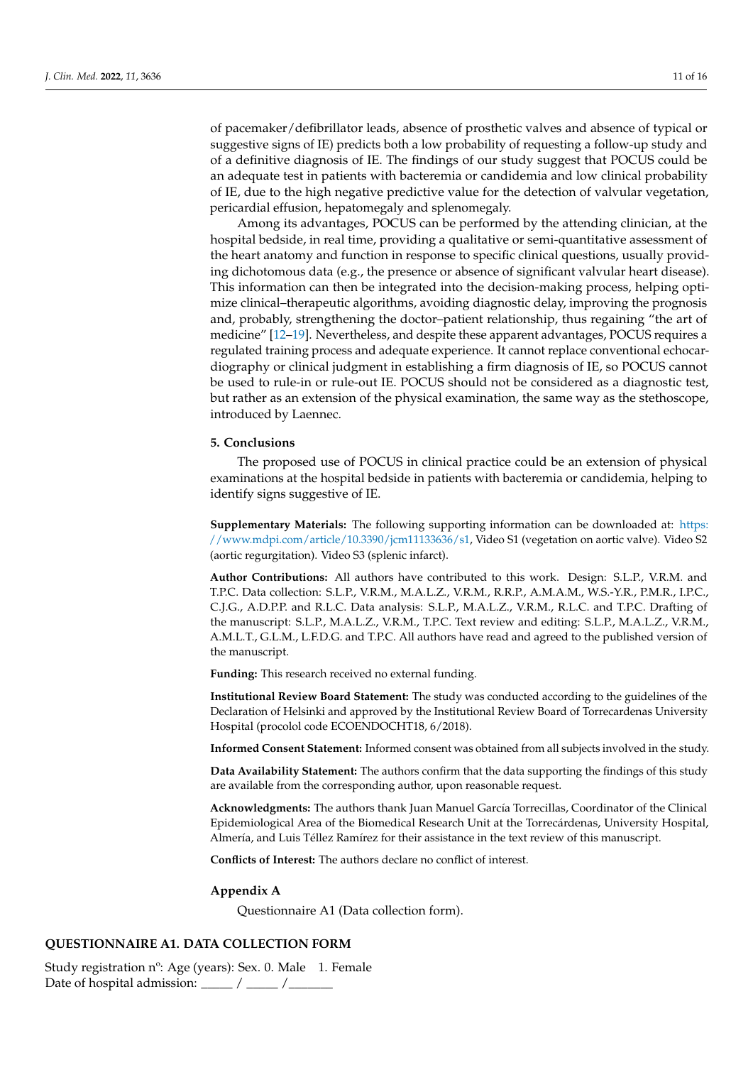of pacemaker/defibrillator leads, absence of prosthetic valves and absence of typical or suggestive signs of IE) predicts both a low probability of requesting a follow-up study and of a definitive diagnosis of IE. The findings of our study suggest that POCUS could be an adequate test in patients with bacteremia or candidemia and low clinical probability of IE, due to the high negative predictive value for the detection of valvular vegetation, pericardial effusion, hepatomegaly and splenomegaly.

Among its advantages, POCUS can be performed by the attending clinician, at the hospital bedside, in real time, providing a qualitative or semi-quantitative assessment of the heart anatomy and function in response to specific clinical questions, usually providing dichotomous data (e.g., the presence or absence of significant valvular heart disease). This information can then be integrated into the decision-making process, helping optimize clinical–therapeutic algorithms, avoiding diagnostic delay, improving the prognosis and, probably, strengthening the doctor–patient relationship, thus regaining "the art of medicine" [\[12](#page-15-1)[–19\]](#page-15-3). Nevertheless, and despite these apparent advantages, POCUS requires a regulated training process and adequate experience. It cannot replace conventional echocardiography or clinical judgment in establishing a firm diagnosis of IE, so POCUS cannot be used to rule-in or rule-out IE. POCUS should not be considered as a diagnostic test, but rather as an extension of the physical examination, the same way as the stethoscope, introduced by Laennec.

#### **5. Conclusions**

The proposed use of POCUS in clinical practice could be an extension of physical examinations at the hospital bedside in patients with bacteremia or candidemia, helping to identify signs suggestive of IE.

**Supplementary Materials:** The following supporting information can be downloaded at: [https:](https://www.mdpi.com/article/10.3390/jcm11133636/s1) [//www.mdpi.com/article/10.3390/jcm11133636/s1,](https://www.mdpi.com/article/10.3390/jcm11133636/s1) Video S1 (vegetation on aortic valve). Video S2 (aortic regurgitation). Video S3 (splenic infarct).

**Author Contributions:** All authors have contributed to this work. Design: S.L.P., V.R.M. and T.P.C. Data collection: S.L.P., V.R.M., M.A.L.Z., V.R.M., R.R.P., A.M.A.M., W.S.-Y.R., P.M.R., I.P.C., C.J.G., A.D.P.P. and R.L.C. Data analysis: S.L.P., M.A.L.Z., V.R.M., R.L.C. and T.P.C. Drafting of the manuscript: S.L.P., M.A.L.Z., V.R.M., T.P.C. Text review and editing: S.L.P., M.A.L.Z., V.R.M., A.M.L.T., G.L.M., L.F.D.G. and T.P.C. All authors have read and agreed to the published version of the manuscript.

**Funding:** This research received no external funding.

**Institutional Review Board Statement:** The study was conducted according to the guidelines of the Declaration of Helsinki and approved by the Institutional Review Board of Torrecardenas University Hospital (procolol code ECOENDOCHT18, 6/2018).

**Informed Consent Statement:** Informed consent was obtained from all subjects involved in the study.

**Data Availability Statement:** The authors confirm that the data supporting the findings of this study are available from the corresponding author, upon reasonable request.

**Acknowledgments:** The authors thank Juan Manuel García Torrecillas, Coordinator of the Clinical Epidemiological Area of the Biomedical Research Unit at the Torrecárdenas, University Hospital, Almería, and Luis Téllez Ramírez for their assistance in the text review of this manuscript.

**Conflicts of Interest:** The authors declare no conflict of interest.

#### <span id="page-10-0"></span>**Appendix A**

Questionnaire A1 (Data collection form).

# **QUESTIONNAIRE A1. DATA COLLECTION FORM**

Study registration nº: Age (years): Sex. 0. Male 1. Female Date of hospital admission:  $\frac{1}{2}$  /  $\frac{1}{2}$  /  $\frac{1}{2}$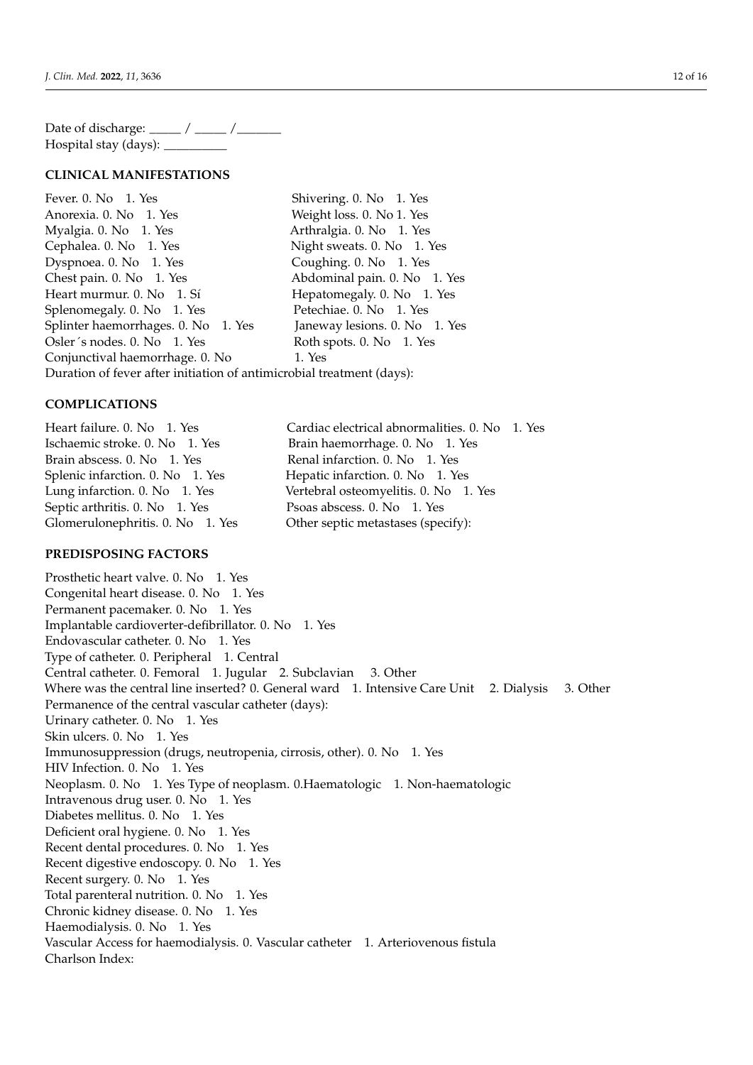Date of discharge: \_\_\_\_\_ / \_\_\_\_\_ / \_\_\_\_\_\_ Hospital stay (days): \_

# **CLINICAL MANIFESTATIONS**

Fever. 0. No 1. Yes Shivering. 0. No 1. Yes Anorexia. 0. No 1. Yes Weight loss. 0. No 1. Yes Myalgia. 0. No 1. Yes Arthralgia. 0. No 1. Yes Cephalea. 0. No 1. Yes Night sweats. 0. No 1. Yes Dyspnoea. 0. No 1. Yes Coughing. 0. No 1. Yes Chest pain. 0. No 1. Yes Abdominal pain. 0. No 1. Yes Heart murmur. 0. No 1. Sí Hepatomegaly. 0. No 1. Yes Splenomegaly. 0. No 1. Yes Petechiae. 0. No 1. Yes Splinter haemorrhages. 0. No 1. Yes Janeway lesions. 0. No 1. Yes Osler´s nodes. 0. No 1. Yes Roth spots. 0. No 1. Yes Conjunctival haemorrhage. 0. No 1. Yes Duration of fever after initiation of antimicrobial treatment (days):

## **COMPLICATIONS**

Heart failure. 0. No 1. Yes Cardiac electrical abnormalities. 0. No 1. Yes Ischaemic stroke. 0. No 1. Yes Brain haemorrhage. 0. No 1. Yes Brain abscess. 0. No 1. Yes Renal infarction. 0. No 1. Yes Splenic infarction. 0. No 1. Yes Hepatic infarction. 0. No 1. Yes Lung infarction. 0. No 1. Yes Vertebral osteomyelitis. 0. No 1. Yes Septic arthritis. 0. No 1. Yes Psoas abscess. 0. No 1. Yes Glomerulonephritis. 0. No 1. Yes Other septic metastases (specify):

# **PREDISPOSING FACTORS**

Prosthetic heart valve. 0. No 1. Yes Congenital heart disease. 0. No 1. Yes Permanent pacemaker. 0. No 1. Yes Implantable cardioverter-defibrillator. 0. No 1. Yes Endovascular catheter. 0. No 1. Yes Type of catheter. 0. Peripheral 1. Central Central catheter. 0. Femoral 1. Jugular 2. Subclavian 3. Other Where was the central line inserted? 0. General ward 1. Intensive Care Unit 2. Dialysis 3. Other Permanence of the central vascular catheter (days): Urinary catheter. 0. No 1. Yes Skin ulcers. 0. No 1. Yes Immunosuppression (drugs, neutropenia, cirrosis, other). 0. No 1. Yes HIV Infection. 0. No 1. Yes Neoplasm. 0. No 1. Yes Type of neoplasm. 0.Haematologic 1. Non-haematologic Intravenous drug user. 0. No 1. Yes Diabetes mellitus. 0. No 1. Yes Deficient oral hygiene. 0. No 1. Yes Recent dental procedures. 0. No 1. Yes Recent digestive endoscopy. 0. No 1. Yes Recent surgery. 0. No 1. Yes Total parenteral nutrition. 0. No 1. Yes Chronic kidney disease. 0. No 1. Yes Haemodialysis. 0. No 1. Yes Vascular Access for haemodialysis. 0. Vascular catheter 1. Arteriovenous fistula Charlson Index: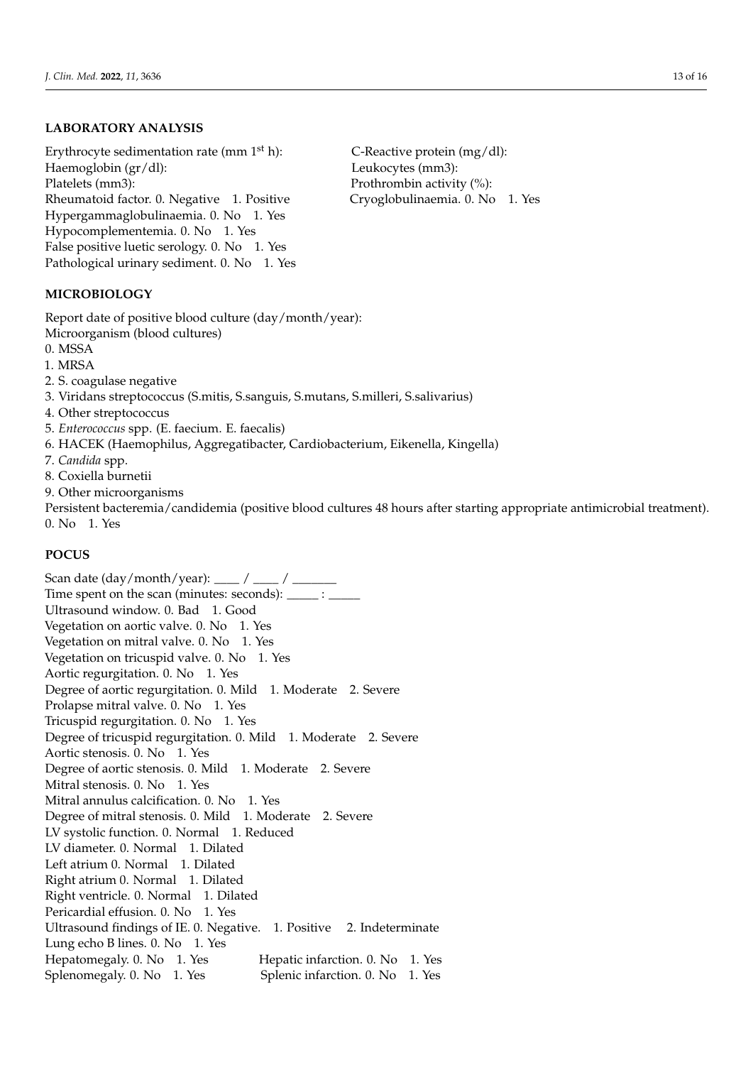# **LABORATORY ANALYSIS**

Erythrocyte sedimentation rate (mm  $1<sup>st</sup>$  h): C-Reactive protein (mg/dl): Haemoglobin (gr/dl): Leukocytes (mm3): Platelets (mm3): Prothrombin activity (%): Rheumatoid factor. 0. Negative 1. Positive Cryoglobulinaemia. 0. No 1. Yes Hypergammaglobulinaemia. 0. No 1. Yes Hypocomplementemia. 0. No 1. Yes False positive luetic serology. 0. No 1. Yes Pathological urinary sediment. 0. No 1. Yes

**MICROBIOLOGY**

Report date of positive blood culture (day/month/year): Microorganism (blood cultures)

0. MSSA

- 1. MRSA
- 2. S. coagulase negative
- 3. Viridans streptococcus (S.mitis, S.sanguis, S.mutans, S.milleri, S.salivarius)
- 4. Other streptococcus
- 5. *Enterococcus* spp. (E. faecium. E. faecalis)
- 6. HACEK (Haemophilus, Aggregatibacter, Cardiobacterium, Eikenella, Kingella)
- 7. *Candida* spp.
- 8. Coxiella burnetii
- 9. Other microorganisms

Persistent bacteremia/candidemia (positive blood cultures 48 hours after starting appropriate antimicrobial treatment).

0. No 1. Yes

### **POCUS**

Scan date (day/month/year): \_\_\_\_ / \_\_\_\_ / \_\_\_\_ Time spent on the scan (minutes: seconds): \_\_\_\_\_ : \_\_ Ultrasound window. 0. Bad 1. Good Vegetation on aortic valve. 0. No 1. Yes Vegetation on mitral valve. 0. No 1. Yes Vegetation on tricuspid valve. 0. No 1. Yes Aortic regurgitation. 0. No 1. Yes Degree of aortic regurgitation. 0. Mild 1. Moderate 2. Severe Prolapse mitral valve. 0. No 1. Yes Tricuspid regurgitation. 0. No 1. Yes Degree of tricuspid regurgitation. 0. Mild 1. Moderate 2. Severe Aortic stenosis. 0. No 1. Yes Degree of aortic stenosis. 0. Mild 1. Moderate 2. Severe Mitral stenosis, 0. No 1. Yes Mitral annulus calcification. 0. No 1. Yes Degree of mitral stenosis. 0. Mild 1. Moderate 2. Severe LV systolic function. 0. Normal 1. Reduced LV diameter. 0. Normal 1. Dilated Left atrium 0. Normal 1. Dilated Right atrium 0. Normal 1. Dilated Right ventricle. 0. Normal 1. Dilated Pericardial effusion. 0. No 1. Yes Ultrasound findings of IE. 0. Negative. 1. Positive 2. Indeterminate Lung echo B lines. 0. No 1. Yes Hepatomegaly. 0. No 1. Yes Hepatic infarction. 0. No 1. Yes Splenomegaly. 0. No 1. Yes Splenic infarction. 0. No 1. Yes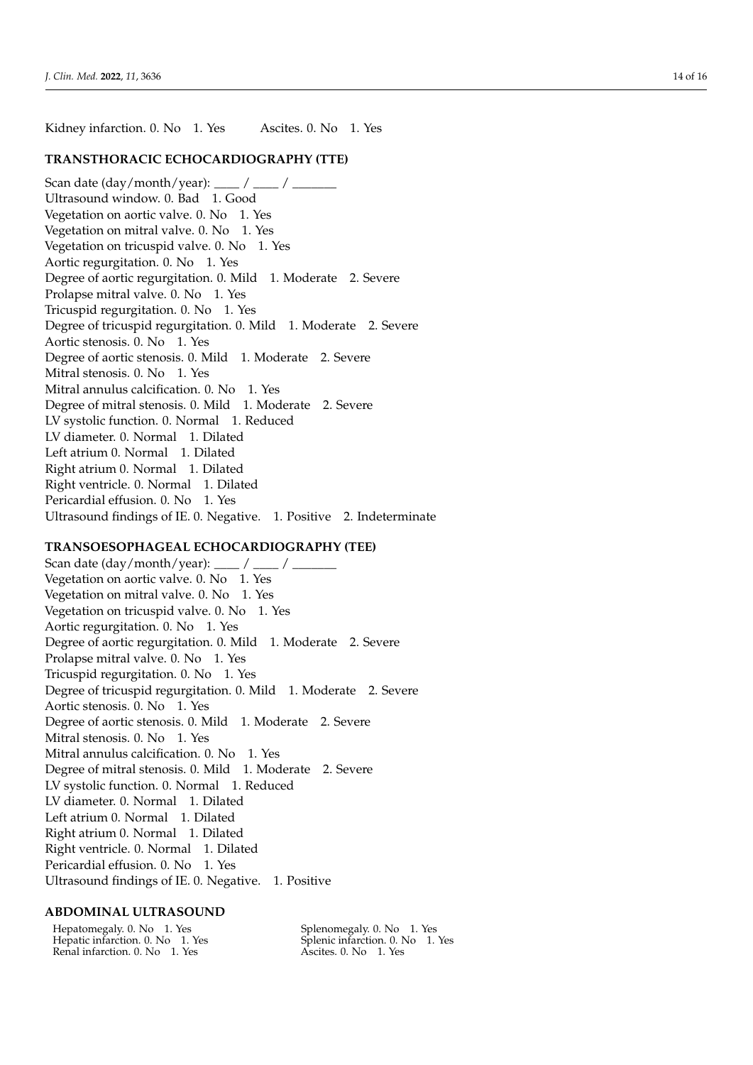Kidney infarction. 0. No 1. Yes Ascites. 0. No 1. Yes

### **TRANSTHORACIC ECHOCARDIOGRAPHY (TTE)**

Scan date  $\frac{day/month/year):$  \_\_\_\_ / \_\_\_\_ / Ultrasound window. 0. Bad 1. Good Vegetation on aortic valve. 0. No 1. Yes Vegetation on mitral valve. 0. No 1. Yes Vegetation on tricuspid valve. 0. No 1. Yes Aortic regurgitation. 0. No 1. Yes Degree of aortic regurgitation. 0. Mild 1. Moderate 2. Severe Prolapse mitral valve. 0. No 1. Yes Tricuspid regurgitation. 0. No 1. Yes Degree of tricuspid regurgitation. 0. Mild 1. Moderate 2. Severe Aortic stenosis. 0. No 1. Yes Degree of aortic stenosis. 0. Mild 1. Moderate 2. Severe Mitral stenosis. 0. No 1. Yes Mitral annulus calcification. 0. No 1. Yes Degree of mitral stenosis. 0. Mild 1. Moderate 2. Severe LV systolic function. 0. Normal 1. Reduced LV diameter. 0. Normal 1. Dilated Left atrium 0. Normal 1. Dilated Right atrium 0. Normal 1. Dilated Right ventricle. 0. Normal 1. Dilated Pericardial effusion. 0. No 1. Yes Ultrasound findings of IE. 0. Negative. 1. Positive 2. Indeterminate

# **TRANSOESOPHAGEAL ECHOCARDIOGRAPHY (TEE)**

Scan date  $\frac{day/month/year)}$ : / / Vegetation on aortic valve. 0. No 1. Yes Vegetation on mitral valve. 0. No 1. Yes Vegetation on tricuspid valve. 0. No 1. Yes Aortic regurgitation. 0. No 1. Yes Degree of aortic regurgitation. 0. Mild 1. Moderate 2. Severe Prolapse mitral valve. 0. No 1. Yes Tricuspid regurgitation. 0. No 1. Yes Degree of tricuspid regurgitation. 0. Mild 1. Moderate 2. Severe Aortic stenosis. 0. No 1. Yes Degree of aortic stenosis. 0. Mild 1. Moderate 2. Severe Mitral stenosis. 0. No 1. Yes Mitral annulus calcification. 0. No 1. Yes Degree of mitral stenosis. 0. Mild 1. Moderate 2. Severe LV systolic function. 0. Normal 1. Reduced LV diameter. 0. Normal 1. Dilated Left atrium 0. Normal 1. Dilated Right atrium 0. Normal 1. Dilated Right ventricle. 0. Normal 1. Dilated Pericardial effusion. 0. No 1. Yes Ultrasound findings of IE. 0. Negative. 1. Positive

#### **ABDOMINAL ULTRASOUND**

Hepatomegaly. 0. No 1. Yes Hepatic infarction. 0. No 1. Yes Renal infarction. 0. No 1. Yes

Splenomegaly. 0. No 1. Yes Splenic infarction. 0. No 1. Yes Ascites. 0. No 1. Yes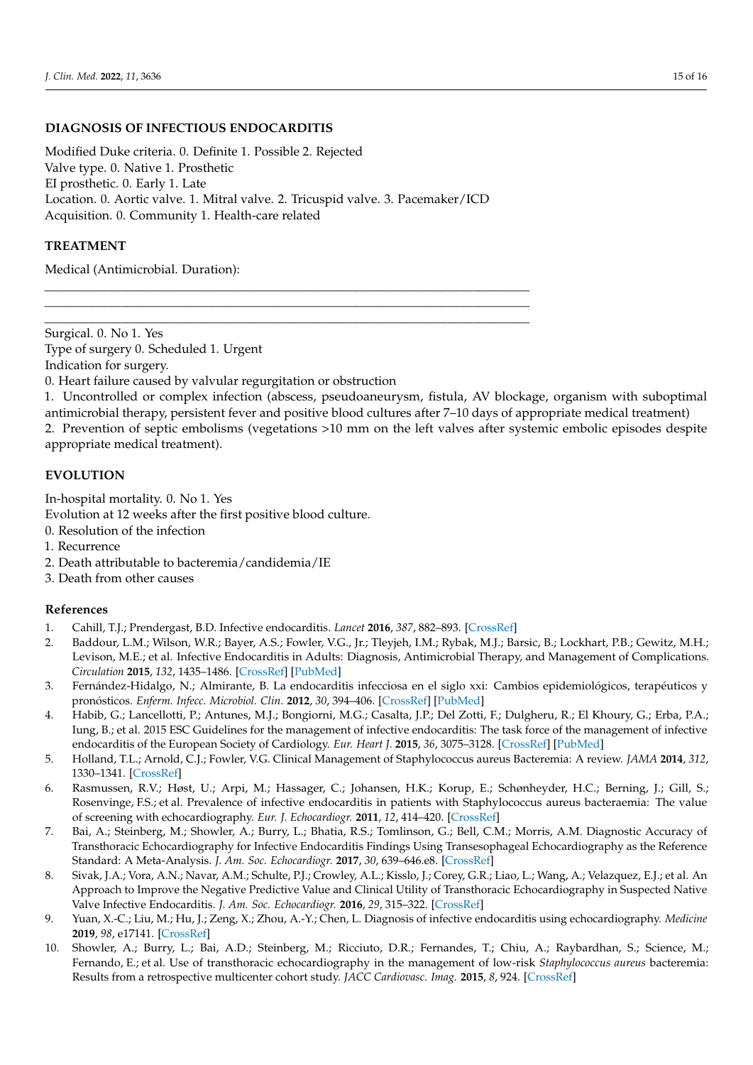# **DIAGNOSIS OF INFECTIOUS ENDOCARDITIS**

Modified Duke criteria. 0. Definite 1. Possible 2. Rejected Valve type. 0. Native 1. Prosthetic EI prosthetic. 0. Early 1. Late Location. 0. Aortic valve. 1. Mitral valve. 2. Tricuspid valve. 3. Pacemaker/ICD Acquisition. 0. Community 1. Health-care related

\_\_\_\_\_\_\_\_\_\_\_\_\_\_\_\_\_\_\_\_\_\_\_\_\_\_\_\_\_\_\_\_\_\_\_\_\_\_\_\_\_\_\_\_\_\_\_\_\_\_\_\_\_\_\_\_\_\_\_\_\_\_\_\_\_\_\_\_\_\_\_\_\_\_\_\_\_ \_\_\_\_\_\_\_\_\_\_\_\_\_\_\_\_\_\_\_\_\_\_\_\_\_\_\_\_\_\_\_\_\_\_\_\_\_\_\_\_\_\_\_\_\_\_\_\_\_\_\_\_\_\_\_\_\_\_\_\_\_\_\_\_\_\_\_\_\_\_\_\_\_\_\_\_\_ \_\_\_\_\_\_\_\_\_\_\_\_\_\_\_\_\_\_\_\_\_\_\_\_\_\_\_\_\_\_\_\_\_\_\_\_\_\_\_\_\_\_\_\_\_\_\_\_\_\_\_\_\_\_\_\_\_\_\_\_\_\_\_\_\_\_\_\_\_\_\_\_\_\_\_\_\_

# **TREATMENT**

Medical (Antimicrobial. Duration):

Surgical. 0. No 1. Yes Type of surgery 0. Scheduled 1. Urgent Indication for surgery.

0. Heart failure caused by valvular regurgitation or obstruction

1. Uncontrolled or complex infection (abscess, pseudoaneurysm, fistula, AV blockage, organism with suboptimal antimicrobial therapy, persistent fever and positive blood cultures after 7–10 days of appropriate medical treatment) 2. Prevention of septic embolisms (vegetations >10 mm on the left valves after systemic embolic episodes despite

appropriate medical treatment).

# **EVOLUTION**

In-hospital mortality. 0. No 1. Yes

Evolution at 12 weeks after the first positive blood culture.

- 0. Resolution of the infection
- 1. Recurrence
- 2. Death attributable to bacteremia/candidemia/IE
- 3. Death from other causes

# **References**

- <span id="page-14-0"></span>1. Cahill, T.J.; Prendergast, B.D. Infective endocarditis. *Lancet* **2016**, *387*, 882–893. [\[CrossRef\]](http://doi.org/10.1016/S0140-6736(15)00067-7)
- <span id="page-14-1"></span>2. Baddour, L.M.; Wilson, W.R.; Bayer, A.S.; Fowler, V.G., Jr.; Tleyjeh, I.M.; Rybak, M.J.; Barsic, B.; Lockhart, P.B.; Gewitz, M.H.; Levison, M.E.; et al. Infective Endocarditis in Adults: Diagnosis, Antimicrobial Therapy, and Management of Complications. *Circulation* **2015**, *132*, 1435–1486. [\[CrossRef\]](http://doi.org/10.1161/CIR.0000000000000296) [\[PubMed\]](http://www.ncbi.nlm.nih.gov/pubmed/26373316)
- <span id="page-14-2"></span>3. Fernández-Hidalgo, N.; Almirante, B. La endocarditis infecciosa en el siglo xxi: Cambios epidemiológicos, terapéuticos y pronósticos. *Enferm. Infecc. Microbiol. Clin.* **2012**, *30*, 394–406. [\[CrossRef\]](http://doi.org/10.1016/j.eimc.2011.11.005) [\[PubMed\]](http://www.ncbi.nlm.nih.gov/pubmed/22222058)
- <span id="page-14-3"></span>4. Habib, G.; Lancellotti, P.; Antunes, M.J.; Bongiorni, M.G.; Casalta, J.P.; Del Zotti, F.; Dulgheru, R.; El Khoury, G.; Erba, P.A.; Iung, B.; et al. 2015 ESC Guidelines for the management of infective endocarditis: The task force of the management of infective endocarditis of the European Society of Cardiology. *Eur. Heart J.* **2015**, *36*, 3075–3128. [\[CrossRef\]](http://doi.org/10.1093/eurheartj/ehv319) [\[PubMed\]](http://www.ncbi.nlm.nih.gov/pubmed/26320109)
- <span id="page-14-4"></span>5. Holland, T.L.; Arnold, C.J.; Fowler, V.G. Clinical Management of Staphylococcus aureus Bacteremia: A review. *JAMA* **2014**, *312*, 1330–1341. [\[CrossRef\]](http://doi.org/10.1001/jama.2014.9743)
- 6. Rasmussen, R.V.; Høst, U.; Arpi, M.; Hassager, C.; Johansen, H.K.; Korup, E.; Schønheyder, H.C.; Berning, J.; Gill, S.; Rosenvinge, F.S.; et al. Prevalence of infective endocarditis in patients with Staphylococcus aureus bacteraemia: The value of screening with echocardiography. *Eur. J. Echocardiogr.* **2011**, *12*, 414–420. [\[CrossRef\]](http://doi.org/10.1093/ejechocard/jer023)
- <span id="page-14-5"></span>7. Bai, A.; Steinberg, M.; Showler, A.; Burry, L.; Bhatia, R.S.; Tomlinson, G.; Bell, C.M.; Morris, A.M. Diagnostic Accuracy of Transthoracic Echocardiography for Infective Endocarditis Findings Using Transesophageal Echocardiography as the Reference Standard: A Meta-Analysis. *J. Am. Soc. Echocardiogr.* **2017**, *30*, 639–646.e8. [\[CrossRef\]](http://doi.org/10.1016/j.echo.2017.03.007)
- <span id="page-14-6"></span>8. Sivak, J.A.; Vora, A.N.; Navar, A.M.; Schulte, P.J.; Crowley, A.L.; Kisslo, J.; Corey, G.R.; Liao, L.; Wang, A.; Velazquez, E.J.; et al. An Approach to Improve the Negative Predictive Value and Clinical Utility of Transthoracic Echocardiography in Suspected Native Valve Infective Endocarditis. *J. Am. Soc. Echocardiogr.* **2016**, *29*, 315–322. [\[CrossRef\]](http://doi.org/10.1016/j.echo.2015.12.009)
- <span id="page-14-7"></span>9. Yuan, X.-C.; Liu, M.; Hu, J.; Zeng, X.; Zhou, A.-Y.; Chen, L. Diagnosis of infective endocarditis using echocardiography. *Medicine* **2019**, *98*, e17141. [\[CrossRef\]](http://doi.org/10.1097/MD.0000000000017141)
- <span id="page-14-8"></span>10. Showler, A.; Burry, L.; Bai, A.D.; Steinberg, M.; Ricciuto, D.R.; Fernandes, T.; Chiu, A.; Raybardhan, S.; Science, M.; Fernando, E.; et al. Use of transthoracic echocardiography in the management of low-risk *Staphylococcus aureus* bacteremia: Results from a retrospective multicenter cohort study. *JACC Cardiovasc. Imag.* **2015**, *8*, 924. [\[CrossRef\]](http://doi.org/10.1016/j.jcmg.2015.02.027)